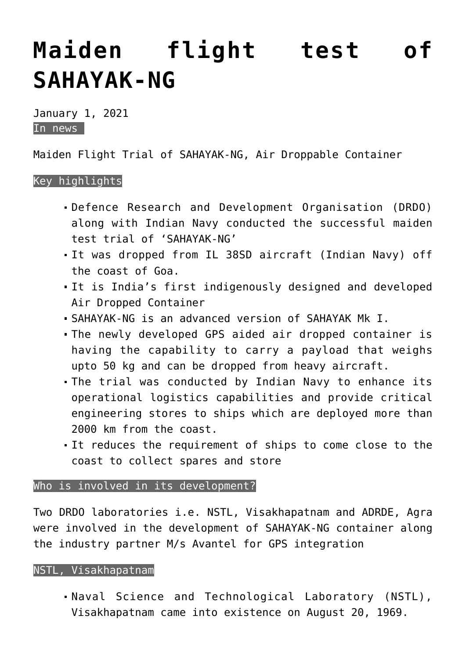# **[Maiden flight test of](https://journalsofindia.com/maiden-flight-test-of-sahayak-ng/) [SAHAYAK-NG](https://journalsofindia.com/maiden-flight-test-of-sahayak-ng/)**

January 1, 2021 In news

Maiden Flight Trial of SAHAYAK-NG, Air Droppable Container

## Key highlights

- Defence Research and Development Organisation (DRDO) along with Indian Navy conducted the successful maiden test trial of 'SAHAYAK-NG'
- It was dropped from IL 38SD aircraft (Indian Navy) off the coast of Goa.
- It is India's first indigenously designed and developed Air Dropped Container
- SAHAYAK-NG is an advanced version of SAHAYAK Mk I.
- The newly developed GPS aided air dropped container is having the capability to carry a payload that weighs upto 50 kg and can be dropped from heavy aircraft.
- The trial was conducted by Indian Navy to enhance its operational logistics capabilities and provide critical engineering stores to ships which are deployed more than 2000 km from the coast.
- It reduces the requirement of ships to come close to the coast to collect spares and store

## Who is involved in its development?

Two DRDO laboratories i.e. NSTL, Visakhapatnam and ADRDE, Agra were involved in the development of SAHAYAK-NG container along the industry partner M/s Avantel for GPS integration

#### NSTL, Visakhapatnam

Naval Science and Technological Laboratory (NSTL), Visakhapatnam came into existence on August 20, 1969.